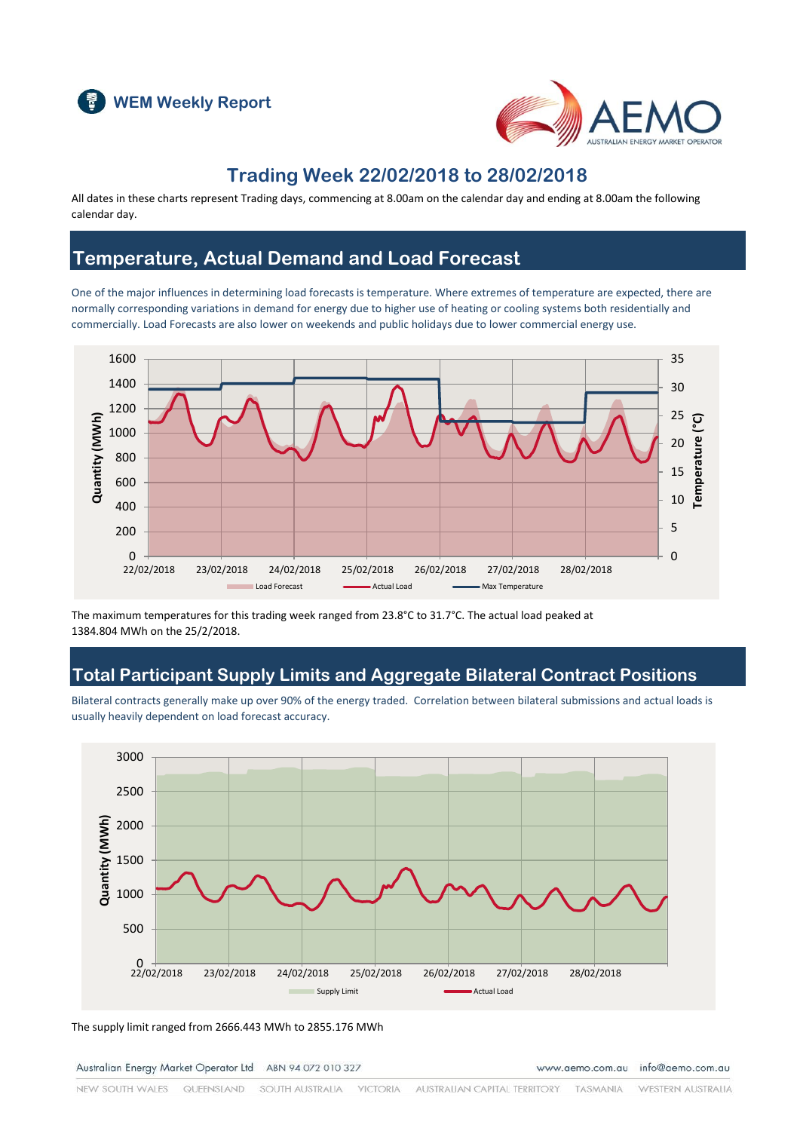



## **Trading Week 22/02/2018 to 28/02/2018**

All dates in these charts represent Trading days, commencing at 8.00am on the calendar day and ending at 8.00am the following calendar day.

## **Temperature, Actual Demand and Load Forecast**

One of the major influences in determining load forecasts is temperature. Where extremes of temperature are expected, there are normally corresponding variations in demand for energy due to higher use of heating or cooling systems both residentially and commercially. Load Forecasts are also lower on weekends and public holidays due to lower commercial energy use.



The maximum temperatures for this trading week ranged from 23.8°C to 31.7°C. The actual load peaked at 1384.804 MWh on the 25/2/2018.

## **Total Participant Supply Limits and Aggregate Bilateral Contract Positions**

Bilateral contracts generally make up over 90% of the energy traded. Correlation between bilateral submissions and actual loads is usually heavily dependent on load forecast accuracy.



The supply limit ranged from 2666.443 MWh to 2855.176 MWh

Australian Energy Market Operator Ltd ABN 94 072 010 327

www.aemo.com.au info@aemo.com.au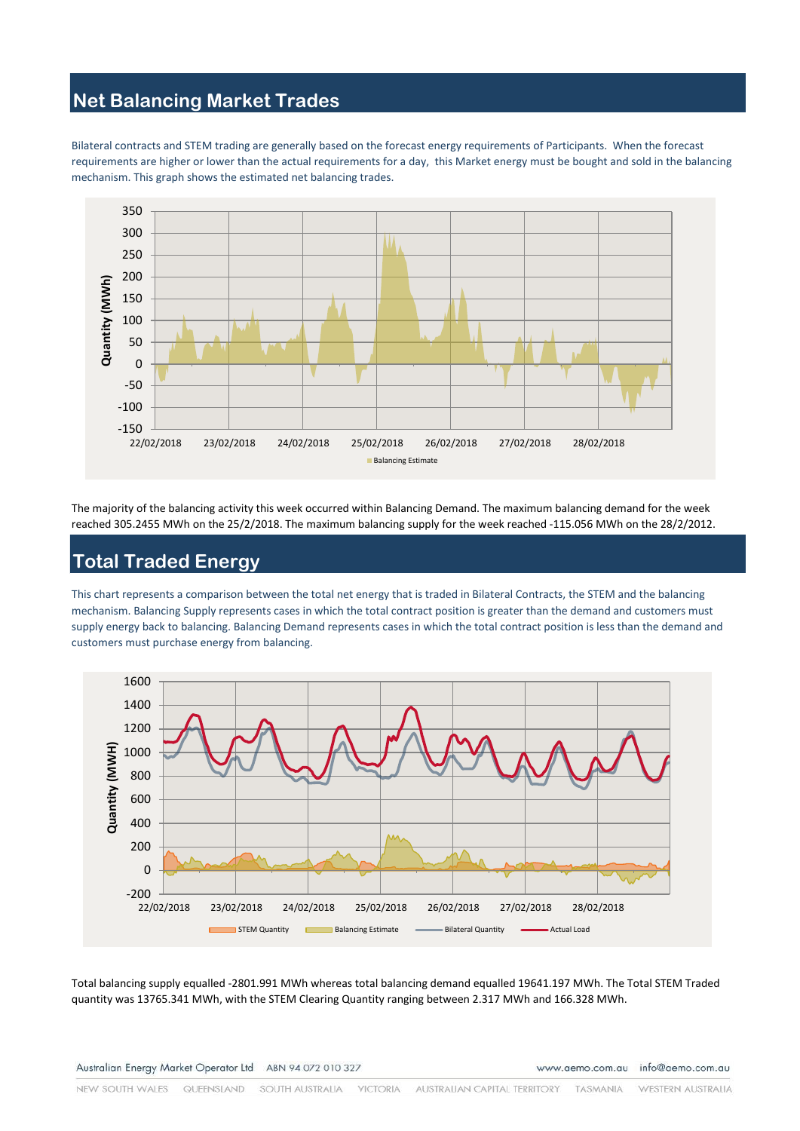#### **Net Balancing Market Trades**

Bilateral contracts and STEM trading are generally based on the forecast energy requirements of Participants. When the forecast requirements are higher or lower than the actual requirements for a day, this Market energy must be bought and sold in the balancing mechanism. This graph shows the estimated net balancing trades.



The majority of the balancing activity this week occurred within Balancing Demand. The maximum balancing demand for the week reached 305.2455 MWh on the 25/2/2018. The maximum balancing supply for the week reached -115.056 MWh on the 28/2/2012.

## **Total Traded Energy**

This chart represents a comparison between the total net energy that is traded in Bilateral Contracts, the STEM and the balancing mechanism. Balancing Supply represents cases in which the total contract position is greater than the demand and customers must supply energy back to balancing. Balancing Demand represents cases in which the total contract position is less than the demand and customers must purchase energy from balancing.



Total balancing supply equalled -2801.991 MWh whereas total balancing demand equalled 19641.197 MWh. The Total STEM Traded quantity was 13765.341 MWh, with the STEM Clearing Quantity ranging between 2.317 MWh and 166.328 MWh.

Australian Energy Market Operator Ltd ABN 94 072 010 327

www.aemo.com.au info@aemo.com.au